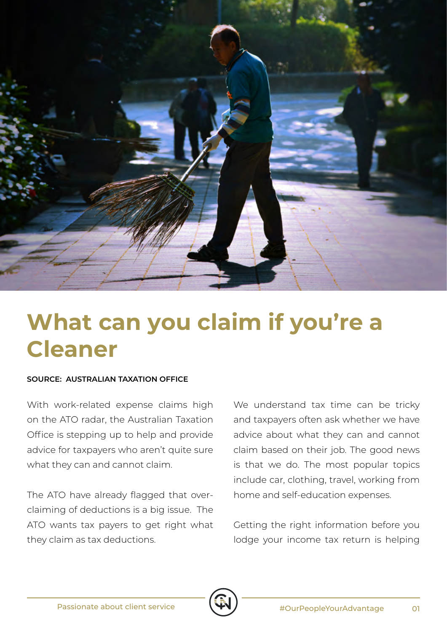

## **What can you claim if you're a Cleaner**

## **SOURCE: AUSTRALIAN TAXATION OFFICE**

With work-related expense claims high on the ATO radar, the Australian Taxation Office is stepping up to help and provide advice for taxpayers who aren't quite sure what they can and cannot claim.

The ATO have already flagged that overclaiming of deductions is a big issue. The ATO wants tax payers to get right what they claim as tax deductions.

We understand tax time can be tricky and taxpayers often ask whether we have advice about what they can and cannot claim based on their job. The good news is that we do. The most popular topics include car, clothing, travel, working from home and self-education expenses.

Getting the right information before you lodge your income tax return is helping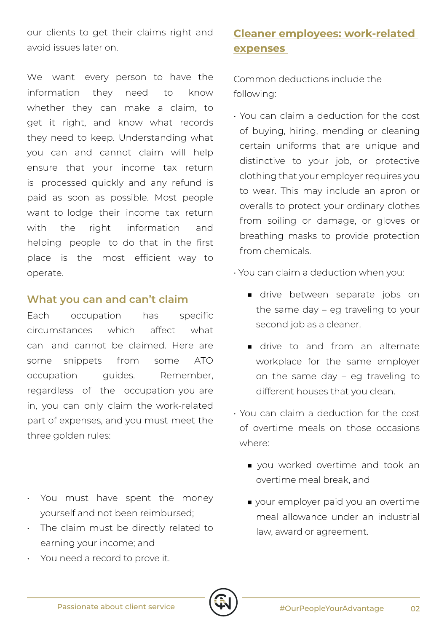our clients to get their claims right and avoid issues later on.

We want every person to have the information they need to know whether they can make a claim, to get it right, and know what records they need to keep. Understanding what you can and cannot claim will help ensure that your income tax return is processed quickly and any refund is paid as soon as possible. Most people want to lodge their income tax return with the right information and helping people to do that in the first place is the most efficient way to operate.

## **What you can and can't claim**

Each occupation has specific circumstances which affect what can and cannot be claimed. Here are some snippets from some ATO occupation guides. Remember, regardless of the occupation you are in, you can only claim the work-related part of expenses, and you must meet the three golden rules:

- You must have spent the money yourself and not been reimbursed;
- The claim must be directly related to earning your income; and
- You need a record to prove it.

## **Cleaner employees: work-related expenses**

Common deductions include the following:

- You can claim a deduction for the cost of buying, hiring, mending or cleaning certain uniforms that are unique and distinctive to your job, or protective clothing that your employer requires you to wear. This may include an apron or overalls to protect your ordinary clothes from soiling or damage, or gloves or breathing masks to provide protection from chemicals.
- You can claim a deduction when you:
	- drive between separate jobs on the same day – eg traveling to your second job as a cleaner.
	- drive to and from an alternate workplace for the same employer on the same day – eg traveling to different houses that you clean.
- You can claim a deduction for the cost of overtime meals on those occasions where:
	- you worked overtime and took an overtime meal break, and
	- your employer paid you an overtime meal allowance under an industrial law, award or agreement.